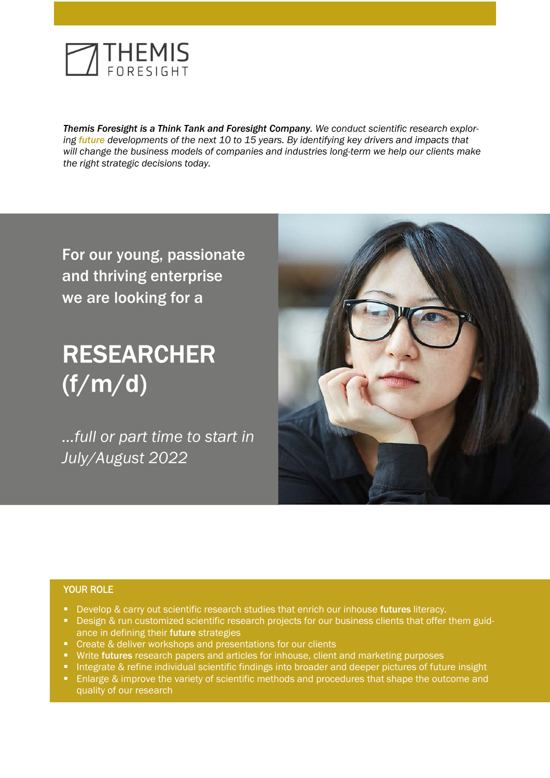

 *Themis Foresight is a Think Tank and Foresight Company. We conduct scientific research explor- ing future developments of the next 10 to 15 years. By identifying key drivers and impacts that*  will change the business models of companies and industries long-term we help our clients make *the right strategic decisions today.*

For our young, passionate and thriving enterprise we are looking for a

# RESEARCHER (f/m/d)

*…full or part time to start in July/August 2022* 



# YOUR ROLE

- Develop & carry out scientific research studies that enrich our inhouse futures literacy.
- **Design & run customized scientific research projects for our business clients that offer them guid**ance in defining their future strategies
- **•** Create & deliver workshops and presentations for our clients
- Write futures research papers and articles for inhouse, client and marketing purposes
- **Integrate & refine individual scientific findings into broader and deeper pictures of future insight**
- **Enlarge & improve the variety of scientific methods and procedures that shape the outcome and** quality of our research